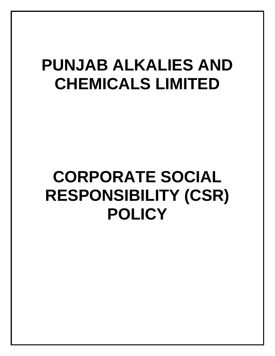# **PUNJAB ALKALIES AND CHEMICALS LIMITED**

# **CORPORATE SOCIAL RESPONSIBILITY (CSR) POLICY**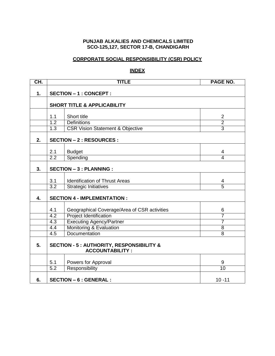#### **PUNJAB ALKALIES AND CHEMICALS LIMITED SCO-125,127, SECTOR 17-B, CHANDIGARH**

### **CORPORATE SOCIAL RESPONSIBILITY (CSR) POLICY**

#### **INDEX**

| CH. |                                             | <b>TITLE</b><br>PAGE NO.                                                       |                                  |  |  |  |
|-----|---------------------------------------------|--------------------------------------------------------------------------------|----------------------------------|--|--|--|
| 1.  |                                             | <b>SECTION - 1 : CONCEPT :</b>                                                 |                                  |  |  |  |
|     |                                             | <b>SHORT TITLE &amp; APPLICABILITY</b>                                         |                                  |  |  |  |
|     | 1.1                                         | Short title                                                                    | $\overline{2}$                   |  |  |  |
|     | 1.2                                         | <b>Definitions</b>                                                             | $\overline{2}$                   |  |  |  |
|     | $\overline{1.3}$                            | <b>CSR Vision Statement &amp; Objective</b>                                    | $\overline{3}$                   |  |  |  |
|     |                                             |                                                                                |                                  |  |  |  |
| 2.  |                                             | <b>SECTION - 2 : RESOURCES :</b>                                               |                                  |  |  |  |
|     | 2.1                                         | <b>Budget</b>                                                                  | 4                                |  |  |  |
|     | 2.2                                         | Spending                                                                       | $\overline{4}$                   |  |  |  |
|     |                                             |                                                                                |                                  |  |  |  |
| 3.  |                                             | <b>SECTION - 3 : PLANNING :</b>                                                |                                  |  |  |  |
|     |                                             |                                                                                |                                  |  |  |  |
|     | 3.1                                         | <b>Identification of Thrust Areas</b>                                          | 4                                |  |  |  |
|     | $\overline{3.2}$                            | <b>Strategic Initiatives</b>                                                   | $\overline{5}$                   |  |  |  |
| 4.  |                                             | <b>SECTION 4 - IMPLEMENTATION:</b>                                             |                                  |  |  |  |
|     |                                             |                                                                                |                                  |  |  |  |
|     | 4.1                                         | Geographical Coverage/Area of CSR activities                                   | 6                                |  |  |  |
|     | 4.2                                         | <b>Project Identification</b>                                                  | 7                                |  |  |  |
|     | 4.3                                         | <b>Executing Agency/Partner</b>                                                | 7                                |  |  |  |
|     | 4.4<br>4.5                                  | <b>Monitoring &amp; Evaluation</b><br>Documentation                            | $\overline{8}$<br>$\overline{8}$ |  |  |  |
|     |                                             |                                                                                |                                  |  |  |  |
| 5.  |                                             | <b>SECTION - 5 : AUTHORITY, RESPONSIBILITY &amp;</b><br><b>ACCOUNTABILITY:</b> |                                  |  |  |  |
|     |                                             |                                                                                |                                  |  |  |  |
|     | 5.1                                         | Powers for Approval                                                            | 9                                |  |  |  |
|     | $\overline{5.2}$                            | Responsibility                                                                 | 10                               |  |  |  |
| 6.  | <b>SECTION - 6 : GENERAL :</b><br>$10 - 11$ |                                                                                |                                  |  |  |  |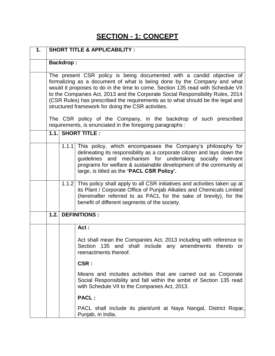## **SECTION - 1: CONCEPT**

| 1. |       |                  | <b>SHORT TITLE &amp; APPLICABILITY:</b>                                                                                                                                                                                                                                                                                                                                                                                                                                                                                            |
|----|-------|------------------|------------------------------------------------------------------------------------------------------------------------------------------------------------------------------------------------------------------------------------------------------------------------------------------------------------------------------------------------------------------------------------------------------------------------------------------------------------------------------------------------------------------------------------|
|    |       | <b>Backdrop:</b> |                                                                                                                                                                                                                                                                                                                                                                                                                                                                                                                                    |
|    |       |                  | The present CSR policy is being documented with a candid objective of<br>formalizing as a document of what is being done by the Company and what<br>would it proposes to do in the time to come. Section 135 read with Schedule VII<br>to the Companies Act, 2013 and the Corporate Social Responsibility Rules, 2014<br>(CSR Rules) has prescribed the requirements as to what should be the legal and<br>structured framework for doing the CSR activities.<br>The CSR policy of the Company, in the backdrop of such prescribed |
|    |       |                  | requirements, is enunciated in the foregoing paragraphs :                                                                                                                                                                                                                                                                                                                                                                                                                                                                          |
|    |       |                  | <b>1.1. SHORT TITLE:</b>                                                                                                                                                                                                                                                                                                                                                                                                                                                                                                           |
|    |       | 1.1.1            | This policy, which encompasses the Company's philosophy for<br>delineating its responsibility as a corporate citizen and lays down the<br>guidelines and mechanism for undertaking socially relevant<br>programs for welfare & sustainable development of the community at<br>large, is titled as the 'PACL CSR Policy'.                                                                                                                                                                                                           |
|    |       |                  | 1.1.2 This policy shall apply to all CSR initiatives and activities taken up at<br>its Plant / Corporate Office of Punjab Alkalies and Chemicals Limited<br>(hereinafter referred to as PACL for the sake of brevity), for the<br>benefit of different segments of the society.                                                                                                                                                                                                                                                    |
|    | 1.2.1 |                  | <b>DEFINITIONS:</b>                                                                                                                                                                                                                                                                                                                                                                                                                                                                                                                |
|    |       |                  | Act:                                                                                                                                                                                                                                                                                                                                                                                                                                                                                                                               |
|    |       |                  | Act shall mean the Companies Act, 2013 including with reference to<br>Section 135 and shall include any amendments thereto or<br>reenactments thereof.                                                                                                                                                                                                                                                                                                                                                                             |
|    |       |                  | CSR:                                                                                                                                                                                                                                                                                                                                                                                                                                                                                                                               |
|    |       |                  | Means and includes activities that are carried out as Corporate<br>Social Responsibility and fall within the ambit of Section 135 read<br>with Schedule VII to the Companies Act, 2013.                                                                                                                                                                                                                                                                                                                                            |
|    |       |                  | <b>PACL:</b>                                                                                                                                                                                                                                                                                                                                                                                                                                                                                                                       |
|    |       |                  | PACL shall include its plant/unit at Naya Nangal, District Ropar,<br>Punjab, in India.                                                                                                                                                                                                                                                                                                                                                                                                                                             |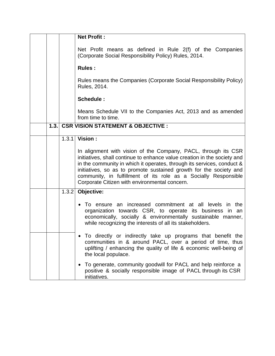|      |       | <b>Net Profit:</b>                                                                                                                                                                                                                                                                                                                                                                                                              |
|------|-------|---------------------------------------------------------------------------------------------------------------------------------------------------------------------------------------------------------------------------------------------------------------------------------------------------------------------------------------------------------------------------------------------------------------------------------|
|      |       | Net Profit means as defined in Rule 2(f) of the Companies<br>(Corporate Social Responsibility Policy) Rules, 2014.                                                                                                                                                                                                                                                                                                              |
|      |       | <b>Rules:</b>                                                                                                                                                                                                                                                                                                                                                                                                                   |
|      |       | Rules means the Companies (Corporate Social Responsibility Policy)<br>Rules, 2014.                                                                                                                                                                                                                                                                                                                                              |
|      |       | Schedule:                                                                                                                                                                                                                                                                                                                                                                                                                       |
|      |       | Means Schedule VII to the Companies Act, 2013 and as amended<br>from time to time.                                                                                                                                                                                                                                                                                                                                              |
| 1.3. |       | <b>CSR VISION STATEMENT &amp; OBJECTIVE:</b>                                                                                                                                                                                                                                                                                                                                                                                    |
|      |       | 1.3.1 Vision:<br>In alignment with vision of the Company, PACL, through its CSR<br>initiatives, shall continue to enhance value creation in the society and<br>in the community in which it operates, through its services, conduct &<br>initiatives, so as to promote sustained growth for the society and<br>community, in fulfillment of its role as a Socially Responsible<br>Corporate Citizen with environmental concern. |
|      | 1.3.2 | Objective:                                                                                                                                                                                                                                                                                                                                                                                                                      |
|      |       | To ensure an increased commitment at all levels in the<br>organization towards CSR, to operate its business in an<br>economically, socially & environmentally sustainable manner,<br>while recognizing the interests of all its stakeholders.                                                                                                                                                                                   |
|      |       | To directly or indirectly take up programs that benefit the<br>communities in & around PACL, over a period of time, thus<br>uplifting / enhancing the quality of life & economic well-being of<br>the local populace.                                                                                                                                                                                                           |
|      |       | To generate, community goodwill for PACL and help reinforce a<br>positive & socially responsible image of PACL through its CSR<br>initiatives.                                                                                                                                                                                                                                                                                  |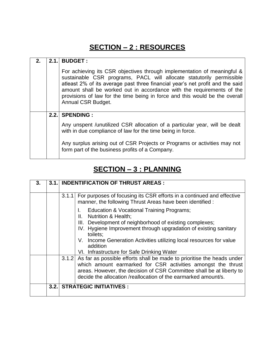# **SECTION – 2 : RESOURCES**

| 2.1. | <b>BUDGET:</b>                                                                                                                                                                                                                                                                                                                                                                                                 |
|------|----------------------------------------------------------------------------------------------------------------------------------------------------------------------------------------------------------------------------------------------------------------------------------------------------------------------------------------------------------------------------------------------------------------|
|      | For achieving its CSR objectives through implementation of meaningful &<br>sustainable CSR programs, PACL will allocate statutorily permissible<br>atleast 2% of its average past three financial year's net profit and the said<br>amount shall be worked out in accordance with the requirements of the<br>provisions of law for the time being in force and this would be the overall<br>Annual CSR Budget. |
|      | 2.2. SPENDING:                                                                                                                                                                                                                                                                                                                                                                                                 |
|      | Any unspent / unutilized CSR allocation of a particular year, will be dealt<br>with in due compliance of law for the time being in force.                                                                                                                                                                                                                                                                      |
|      | Any surplus arising out of CSR Projects or Programs or activities may not<br>form part of the business profits of a Company.                                                                                                                                                                                                                                                                                   |

## **SECTION – 3 : PLANNING**

| 3. | 3.1.1 | <b>INDENTIFICATION OF THRUST AREAS:</b>                                                                                                                                                                                                                                                |
|----|-------|----------------------------------------------------------------------------------------------------------------------------------------------------------------------------------------------------------------------------------------------------------------------------------------|
|    |       | For purposes of focusing its CSR efforts in a continued and effective<br>3.1.1<br>manner, the following Thrust Areas have been identified :                                                                                                                                            |
|    |       | Education & Vocational Training Programs;<br>II. Nutrition & Health;                                                                                                                                                                                                                   |
|    |       | III. Development of neighborhood of existing complexes;<br>IV. Hygiene Improvement through upgradation of existing sanitary<br>toilets;                                                                                                                                                |
|    |       | V. Income Generation Activities utilizing local resources for value<br>addition                                                                                                                                                                                                        |
|    |       | VI. Infrastructure for Safe Drinking Water                                                                                                                                                                                                                                             |
|    |       | 3.1.2 As far as possible efforts shall be made to prioritise the heads under<br>which amount earmarked for CSR activities amongst the thrust<br>areas. However, the decision of CSR Committee shall be at liberty to<br>decide the allocation /reallocation of the earmarked amount/s. |
|    | 3.2.1 | <b>STRATEGIC INITIATIVES:</b>                                                                                                                                                                                                                                                          |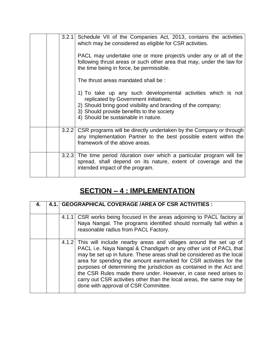|  | 3.2.1 | Schedule VII of the Companies Act, 2013, contains the activities<br>which may be considered as eligible for CSR activities.<br>PACL may undertake one or more project/s under any or all of the<br>following thrust areas or such other area that may, under the law for<br>the time being in force, be permissible. |
|--|-------|----------------------------------------------------------------------------------------------------------------------------------------------------------------------------------------------------------------------------------------------------------------------------------------------------------------------|
|  |       | The thrust areas mandated shall be:                                                                                                                                                                                                                                                                                  |
|  |       | 1) To take up any such developmental activities which is not<br>replicated by Government initiatives;<br>2) Should bring good visibility and branding of the company;<br>3) Should provide benefits to the society<br>4) Should be sustainable in nature.                                                            |
|  |       | 3.2.2 CSR programs will be directly undertaken by the Company or through<br>any Implementation Partner to the best possible extent within the<br>framework of the above areas.                                                                                                                                       |
|  |       | 3.2.3 The time period /duration over which a particular program will be<br>spread, shall depend on its nature, extent of coverage and the<br>intended impact of the program.                                                                                                                                         |

# **SECTION – 4 : IMPLEMENTATION**

|  | 4.1. GEOGRAPHICAL COVERAGE / AREA OF CSR ACTIVITIES :                                                                                                                                                                                                                                                                                                                                                                                                                                                                                                |
|--|------------------------------------------------------------------------------------------------------------------------------------------------------------------------------------------------------------------------------------------------------------------------------------------------------------------------------------------------------------------------------------------------------------------------------------------------------------------------------------------------------------------------------------------------------|
|  | 4.1.1 CSR works being focused in the areas adjoining to PACL factory at<br>Naya Nangal. The programs identified should normally fall within a<br>reasonable radius from PACL Factory.                                                                                                                                                                                                                                                                                                                                                                |
|  | 4.1.2 This will include nearby areas and villages around the set up of<br>PACL i.e. Naya Nangal & Chandigarh or any other unit of PACL that<br>may be set up in future. These areas shall be considered as the local<br>area for spending the amount earmarked for CSR activities for the<br>purposes of determining the jurisdiction as contained in the Act and<br>the CSR Rules made there under. However, in case need arises to<br>carry out CSR activities other than the local areas, the same may be<br>done with approval of CSR Committee. |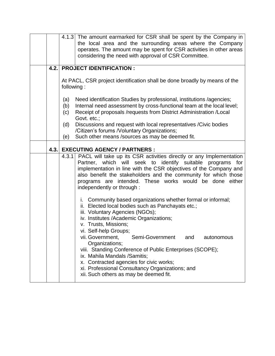|      | 4.1.3 The amount earmarked for CSR shall be spent by the Company in<br>the local area and the surrounding areas where the Company<br>operates. The amount may be spent for CSR activities in other areas<br>considering the need with approval of CSR Committee.                                                                                                                                                                                                                                                                                                    |
|------|---------------------------------------------------------------------------------------------------------------------------------------------------------------------------------------------------------------------------------------------------------------------------------------------------------------------------------------------------------------------------------------------------------------------------------------------------------------------------------------------------------------------------------------------------------------------|
| 4.2. | <b>PROJECT IDENTIFICATION:</b>                                                                                                                                                                                                                                                                                                                                                                                                                                                                                                                                      |
|      | At PACL, CSR project identification shall be done broadly by means of the<br>following:                                                                                                                                                                                                                                                                                                                                                                                                                                                                             |
|      | Need identification Studies by professional, institutions /agencies;<br>(a)<br>Internal need assessment by cross-functional team at the local level;<br>(b)<br>Receipt of proposals /requests from District Administration /Local<br>(c)<br>Govt. etc.;                                                                                                                                                                                                                                                                                                             |
|      | Discussions and request with local representatives / Civic bodies<br>(d)<br>/Citizen's forums /Voluntary Organizations;<br>Such other means /sources as may be deemed fit.<br>(e)                                                                                                                                                                                                                                                                                                                                                                                   |
|      |                                                                                                                                                                                                                                                                                                                                                                                                                                                                                                                                                                     |
| 4.3. | <b>EXECUTING AGENCY / PARTNERS :</b><br>4.3.1 PACL will take up its CSR activities directly or any Implementation<br>Partner, which will seek to identify suitable<br>for<br>programs<br>implementation in line with the CSR objectives of the Company and<br>also benefit the stakeholders and the community for which those<br>programs are intended. These works would be done either<br>independently or through :                                                                                                                                              |
|      | i. Community based organizations whether formal or informal;<br>ii. Elected local bodies such as Panchayats etc.;<br>iii. Voluntary Agencies (NGOs);<br>iv. Institutes /Academic Organizations;<br>v. Trusts, Missions;<br>vi. Self-help Groups;<br>Semi-Government<br>vii. Government,<br>and<br>autonomous<br>Organizations;<br>viii. Standing Conference of Public Enterprises (SCOPE);<br>ix. Mahila Mandals / Samitis;<br>x. Contracted agencies for civic works;<br>xi. Professional Consultancy Organizations; and<br>xii. Such others as may be deemed fit. |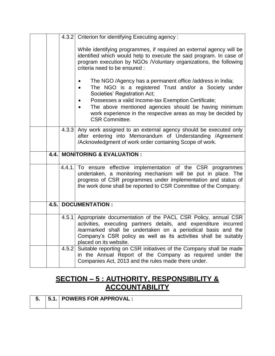|      |       | 4.3.2 Criterion for identifying Executing agency:                                                                                                                                                                                                                                              |
|------|-------|------------------------------------------------------------------------------------------------------------------------------------------------------------------------------------------------------------------------------------------------------------------------------------------------|
|      |       | While identifying programmes, if required an external agency will be<br>identified which would help to execute the said program. In case of<br>program execution by NGOs /Voluntary organizations, the following<br>criteria need to be ensured :                                              |
|      |       | The NGO /Agency has a permanent office /address in India;<br>The NGO is a registered Trust and/or a Society under<br>Societies' Registration Act;                                                                                                                                              |
|      |       | Possesses a valid Income-tax Exemption Certificate;                                                                                                                                                                                                                                            |
|      |       | The above mentioned agencies should be having minimum<br>work experience in the respective areas as may be decided by<br><b>CSR Committee.</b>                                                                                                                                                 |
|      |       | 4.3.3 Any work assigned to an external agency should be executed only<br>after entering into Memorandum of Understanding /Agreement<br>/Acknowledgment of work order containing Scope of work.                                                                                                 |
| 4.4. |       | <b>MONITORING &amp; EVALUATION:</b>                                                                                                                                                                                                                                                            |
|      |       | 4.4.1. To ensure effective implementation of the CSR programmes<br>undertaken, a monitoring mechanism will be put in place. The<br>progress of CSR programmes under implementation and status of<br>the work done shall be reported to CSR Committee of the Company.                           |
| 4.5. |       | <b>DOCUMENTATION:</b>                                                                                                                                                                                                                                                                          |
|      | 4.5.1 | Appropriate documentation of the PACL CSR Policy, annual CSR<br>activities, executing partners details, and expenditure incurred<br>/earmarked shall be undertaken on a periodical basis and the<br>Company's CSR policy as well as its activities shall be suitably<br>placed on its website. |
|      | 4.5.2 | Suitable reporting on CSR initiatives of the Company shall be made<br>in the Annual Report of the Company as required under the                                                                                                                                                                |

### **SECTION – 5 : AUTHORITY, RESPONSIBILITY & ACCOUNTABILITY**

|  |  | 5. 5.1. POWERS FOR APPROVAL : |
|--|--|-------------------------------|
|--|--|-------------------------------|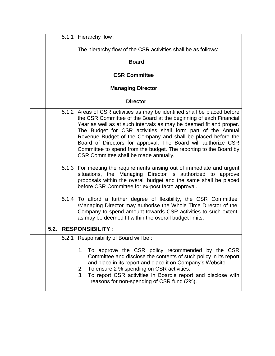|      |       | 5.1.1 Hierarchy flow:                                                                                                                                                                                                                                                                                                                                                                                                                                                                                                        |
|------|-------|------------------------------------------------------------------------------------------------------------------------------------------------------------------------------------------------------------------------------------------------------------------------------------------------------------------------------------------------------------------------------------------------------------------------------------------------------------------------------------------------------------------------------|
|      |       | The hierarchy flow of the CSR activities shall be as follows:                                                                                                                                                                                                                                                                                                                                                                                                                                                                |
|      |       | <b>Board</b>                                                                                                                                                                                                                                                                                                                                                                                                                                                                                                                 |
|      |       | <b>CSR Committee</b>                                                                                                                                                                                                                                                                                                                                                                                                                                                                                                         |
|      |       | <b>Managing Director</b>                                                                                                                                                                                                                                                                                                                                                                                                                                                                                                     |
|      |       | <b>Director</b>                                                                                                                                                                                                                                                                                                                                                                                                                                                                                                              |
|      | 5.1.2 | Areas of CSR activities as may be identified shall be placed before<br>the CSR Committee of the Board at the beginning of each Financial<br>Year as well as at such intervals as may be deemed fit and proper.<br>The Budget for CSR activities shall form part of the Annual<br>Revenue Budget of the Company and shall be placed before the<br>Board of Directors for approval. The Board will authorize CSR<br>Committee to spend from the budget. The reporting to the Board by<br>CSR Committee shall be made annually. |
|      |       | 5.1.3 For meeting the requirements arising out of immediate and urgent<br>situations, the Managing Director is authorized to approve<br>proposals within the overall budget and the same shall be placed<br>before CSR Committee for ex-post facto approval.                                                                                                                                                                                                                                                                 |
|      | 5.1.4 | To afford a further degree of flexibility, the CSR Committee<br>/Managing Director may authorise the Whole Time Director of the<br>Company to spend amount towards CSR activities to such extent<br>as may be deemed fit within the overall budget limits.                                                                                                                                                                                                                                                                   |
| 5.2. |       | <b>RESPONSIBILITY:</b>                                                                                                                                                                                                                                                                                                                                                                                                                                                                                                       |
|      | 5.2.1 | Responsibility of Board will be:<br>To approve the CSR policy recommended by the CSR<br>1.<br>Committee and disclose the contents of such policy in its report<br>and place in its report and place it on Company's Website.<br>To ensure 2 % spending on CSR activities.<br>2.<br>To report CSR activities in Board's report and disclose with<br>3.<br>reasons for non-spending of CSR fund (2%).                                                                                                                          |